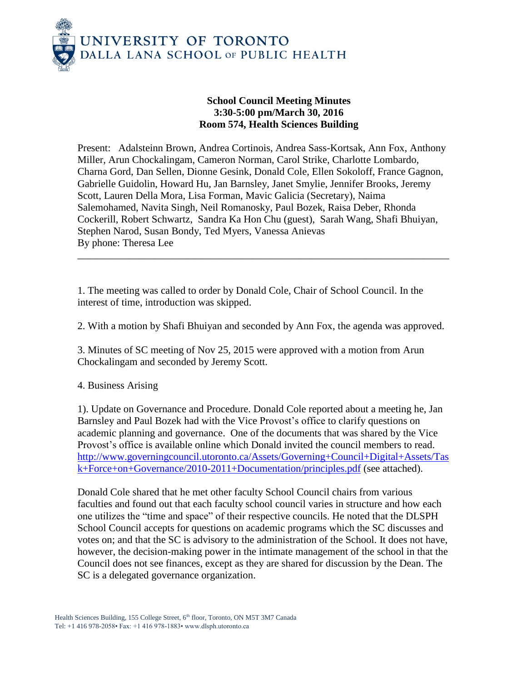

## **School Council Meeting Minutes 3:30-5:00 pm/March 30, 2016 Room 574, Health Sciences Building**

Present: Adalsteinn Brown, Andrea Cortinois, Andrea Sass-Kortsak, Ann Fox, Anthony Miller, Arun Chockalingam, Cameron Norman, Carol Strike, Charlotte Lombardo, Charna Gord, Dan Sellen, Dionne Gesink, Donald Cole, Ellen Sokoloff, France Gagnon, Gabrielle Guidolin, Howard Hu, Jan Barnsley, Janet Smylie, Jennifer Brooks, Jeremy Scott, Lauren Della Mora, Lisa Forman, Mavic Galicia (Secretary), Naima Salemohamed, Navita Singh, Neil Romanosky, Paul Bozek, Raisa Deber, Rhonda Cockerill, Robert Schwartz, Sandra Ka Hon Chu (guest), Sarah Wang, Shafi Bhuiyan, Stephen Narod, Susan Bondy, Ted Myers, Vanessa Anievas By phone: Theresa Lee

\_\_\_\_\_\_\_\_\_\_\_\_\_\_\_\_\_\_\_\_\_\_\_\_\_\_\_\_\_\_\_\_\_\_\_\_\_\_\_\_\_\_\_\_\_\_\_\_\_\_\_\_\_\_\_\_\_\_\_\_\_\_\_\_\_\_\_\_\_\_\_\_

1. The meeting was called to order by Donald Cole, Chair of School Council. In the interest of time, introduction was skipped.

2. With a motion by Shafi Bhuiyan and seconded by Ann Fox, the agenda was approved.

3. Minutes of SC meeting of Nov 25, 2015 were approved with a motion from Arun Chockalingam and seconded by Jeremy Scott.

4. Business Arising

1). Update on Governance and Procedure. Donald Cole reported about a meeting he, Jan Barnsley and Paul Bozek had with the Vice Provost's office to clarify questions on academic planning and governance. One of the documents that was shared by the Vice Provost's office is available online which Donald invited the council members to read. [http://www.governingcouncil.utoronto.ca/Assets/Governing+Council+Digital+Assets/Tas](http://www.governingcouncil.utoronto.ca/Assets/Governing+Council+Digital+Assets/Task+Force+on+Governance/2010-2011+Documentation/principles.pdf) [k+Force+on+Governance/2010-2011+Documentation/principles.pdf](http://www.governingcouncil.utoronto.ca/Assets/Governing+Council+Digital+Assets/Task+Force+on+Governance/2010-2011+Documentation/principles.pdf) (see attached).

Donald Cole shared that he met other faculty School Council chairs from various faculties and found out that each faculty school council varies in structure and how each one utilizes the "time and space" of their respective councils. He noted that the DLSPH School Council accepts for questions on academic programs which the SC discusses and votes on; and that the SC is advisory to the administration of the School. It does not have, however, the decision-making power in the intimate management of the school in that the Council does not see finances, except as they are shared for discussion by the Dean. The SC is a delegated governance organization.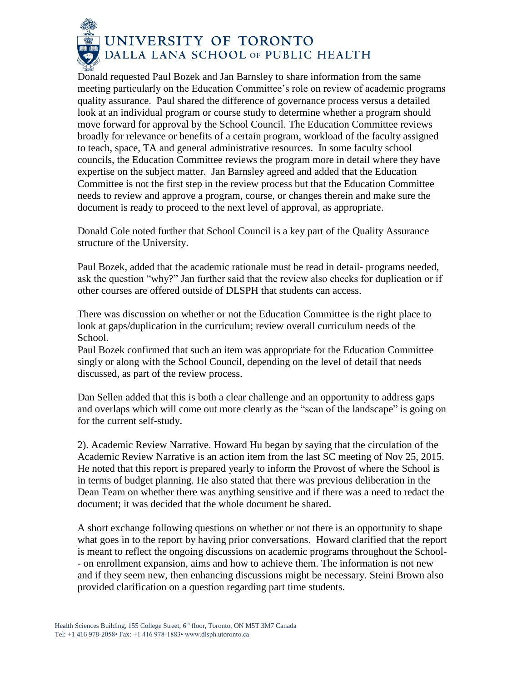

Donald requested Paul Bozek and Jan Barnsley to share information from the same meeting particularly on the Education Committee's role on review of academic programs quality assurance. Paul shared the difference of governance process versus a detailed look at an individual program or course study to determine whether a program should move forward for approval by the School Council. The Education Committee reviews broadly for relevance or benefits of a certain program, workload of the faculty assigned to teach, space, TA and general administrative resources. In some faculty school councils, the Education Committee reviews the program more in detail where they have expertise on the subject matter. Jan Barnsley agreed and added that the Education Committee is not the first step in the review process but that the Education Committee needs to review and approve a program, course, or changes therein and make sure the document is ready to proceed to the next level of approval, as appropriate.

Donald Cole noted further that School Council is a key part of the Quality Assurance structure of the University.

Paul Bozek, added that the academic rationale must be read in detail- programs needed, ask the question "why?" Jan further said that the review also checks for duplication or if other courses are offered outside of DLSPH that students can access.

There was discussion on whether or not the Education Committee is the right place to look at gaps/duplication in the curriculum; review overall curriculum needs of the School.

Paul Bozek confirmed that such an item was appropriate for the Education Committee singly or along with the School Council, depending on the level of detail that needs discussed, as part of the review process.

Dan Sellen added that this is both a clear challenge and an opportunity to address gaps and overlaps which will come out more clearly as the "scan of the landscape" is going on for the current self-study.

2). Academic Review Narrative. Howard Hu began by saying that the circulation of the Academic Review Narrative is an action item from the last SC meeting of Nov 25, 2015. He noted that this report is prepared yearly to inform the Provost of where the School is in terms of budget planning. He also stated that there was previous deliberation in the Dean Team on whether there was anything sensitive and if there was a need to redact the document; it was decided that the whole document be shared.

A short exchange following questions on whether or not there is an opportunity to shape what goes in to the report by having prior conversations. Howard clarified that the report is meant to reflect the ongoing discussions on academic programs throughout the School- - on enrollment expansion, aims and how to achieve them. The information is not new and if they seem new, then enhancing discussions might be necessary. Steini Brown also provided clarification on a question regarding part time students.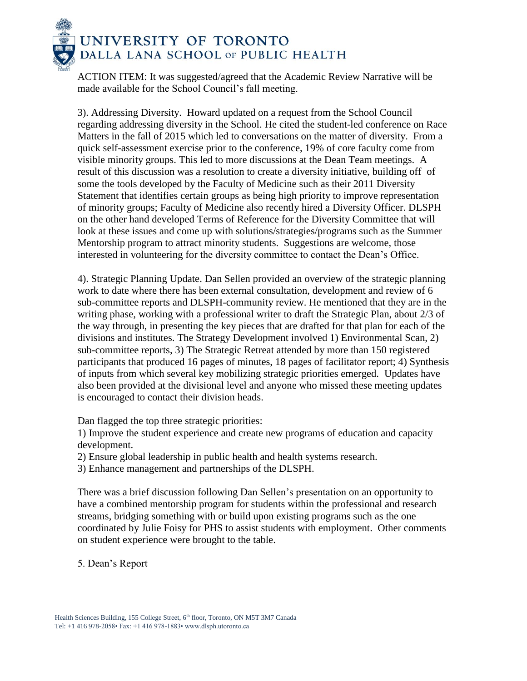

ACTION ITEM: It was suggested/agreed that the Academic Review Narrative will be made available for the School Council's fall meeting.

3). Addressing Diversity. Howard updated on a request from the School Council regarding addressing diversity in the School. He cited the student-led conference on Race Matters in the fall of 2015 which led to conversations on the matter of diversity. From a quick self-assessment exercise prior to the conference, 19% of core faculty come from visible minority groups. This led to more discussions at the Dean Team meetings. A result of this discussion was a resolution to create a diversity initiative, building off of some the tools developed by the Faculty of Medicine such as their 2011 Diversity Statement that identifies certain groups as being high priority to improve representation of minority groups; Faculty of Medicine also recently hired a Diversity Officer. DLSPH on the other hand developed Terms of Reference for the Diversity Committee that will look at these issues and come up with solutions/strategies/programs such as the Summer Mentorship program to attract minority students. Suggestions are welcome, those interested in volunteering for the diversity committee to contact the Dean's Office.

4). Strategic Planning Update. Dan Sellen provided an overview of the strategic planning work to date where there has been external consultation, development and review of 6 sub-committee reports and DLSPH-community review. He mentioned that they are in the writing phase, working with a professional writer to draft the Strategic Plan, about 2/3 of the way through, in presenting the key pieces that are drafted for that plan for each of the divisions and institutes. The Strategy Development involved 1) Environmental Scan, 2) sub-committee reports, 3) The Strategic Retreat attended by more than 150 registered participants that produced 16 pages of minutes, 18 pages of facilitator report; 4) Synthesis of inputs from which several key mobilizing strategic priorities emerged. Updates have also been provided at the divisional level and anyone who missed these meeting updates is encouraged to contact their division heads.

Dan flagged the top three strategic priorities:

1) Improve the student experience and create new programs of education and capacity development.

- 2) Ensure global leadership in public health and health systems research.
- 3) Enhance management and partnerships of the DLSPH.

There was a brief discussion following Dan Sellen's presentation on an opportunity to have a combined mentorship program for students within the professional and research streams, bridging something with or build upon existing programs such as the one coordinated by Julie Foisy for PHS to assist students with employment. Other comments on student experience were brought to the table.

5. Dean's Report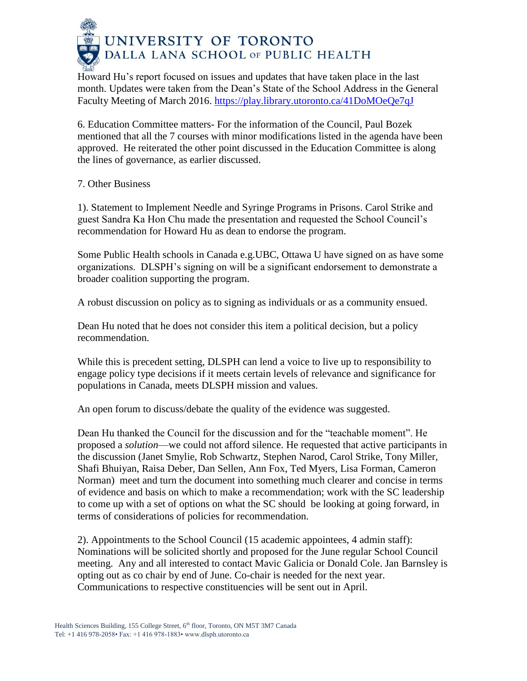

Howard Hu's report focused on issues and updates that have taken place in the last month. Updates were taken from the Dean's State of the School Address in the General Faculty Meeting of March 2016.<https://play.library.utoronto.ca/41DoMOeQe7qJ>

6. Education Committee matters- For the information of the Council, Paul Bozek mentioned that all the 7 courses with minor modifications listed in the agenda have been approved. He reiterated the other point discussed in the Education Committee is along the lines of governance, as earlier discussed.

7. Other Business

1). Statement to Implement Needle and Syringe Programs in Prisons. Carol Strike and guest Sandra Ka Hon Chu made the presentation and requested the School Council's recommendation for Howard Hu as dean to endorse the program.

Some Public Health schools in Canada e.g.UBC, Ottawa U have signed on as have some organizations. DLSPH's signing on will be a significant endorsement to demonstrate a broader coalition supporting the program.

A robust discussion on policy as to signing as individuals or as a community ensued.

Dean Hu noted that he does not consider this item a political decision, but a policy recommendation.

While this is precedent setting, DLSPH can lend a voice to live up to responsibility to engage policy type decisions if it meets certain levels of relevance and significance for populations in Canada, meets DLSPH mission and values.

An open forum to discuss/debate the quality of the evidence was suggested.

Dean Hu thanked the Council for the discussion and for the "teachable moment". He proposed a *solution*—we could not afford silence. He requested that active participants in the discussion (Janet Smylie, Rob Schwartz, Stephen Narod, Carol Strike, Tony Miller, Shafi Bhuiyan, Raisa Deber, Dan Sellen, Ann Fox, Ted Myers, Lisa Forman, Cameron Norman) meet and turn the document into something much clearer and concise in terms of evidence and basis on which to make a recommendation; work with the SC leadership to come up with a set of options on what the SC should be looking at going forward, in terms of considerations of policies for recommendation.

2). Appointments to the School Council (15 academic appointees, 4 admin staff): Nominations will be solicited shortly and proposed for the June regular School Council meeting. Any and all interested to contact Mavic Galicia or Donald Cole. Jan Barnsley is opting out as co chair by end of June. Co-chair is needed for the next year. Communications to respective constituencies will be sent out in April.